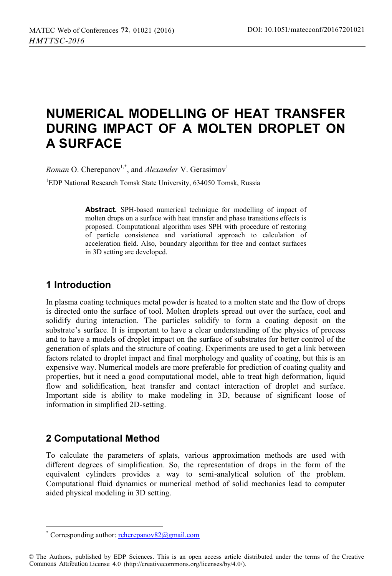# **NUMERICAL MODELLING OF HEAT TRANSFER DURING IMPACT OF A MOLTEN DROPLET ON A SURFACE**

*Roman* O. Cherepanov<sup>1,\*</sup>, and *Alexander* V. Gerasimov<sup>1</sup>

1 EDP National Research Tomsk State University, 634050 Tomsk, Russia

**Abstract.** SPH-based numerical technique for modelling of impact of molten drops on a surface with heat transfer and phase transitions effects is proposed. Computational algorithm uses SPH with procedure of restoring of particle consistence and variational approach to calculation of acceleration field. Also, boundary algorithm for free and contact surfaces in 3D setting are developed.

### **1 Introduction**

In plasma coating techniques metal powder is heated to a molten state and the flow of drops is directed onto the surface of tool. Molten droplets spread out over the surface, cool and solidify during interaction. The particles solidify to form a coating deposit on the substrate's surface. It is important to have a clear understanding of the physics of process and to have a models of droplet impact on the surface of substrates for better control of the generation of splats and the structure of coating. Experiments are used to get a link between factors related to droplet impact and final morphology and quality of coating, but this is an expensive way. Numerical models are more preferable for prediction of coating quality and properties, but it need a good computational model, able to treat high deformation, liquid flow and solidification, heat transfer and contact interaction of droplet and surface. Important side is ability to make modeling in 3D, because of significant loose of information in simplified 2D-setting.

## **2 Computational Method**

ı

To calculate the parameters of splats, various approximation methods are used with different degrees of simplification. So, the representation of drops in the form of the equivalent cylinders provides a way to semi-analytical solution of the problem. Computational fluid dynamics or numerical method of solid mechanics lead to computer aided physical modeling in 3D setting.

<sup>\*</sup> Corresponding author: rcherepanov82@gmail.com

<sup>©</sup> The Authors, published by EDP Sciences. This is an open access article distributed under the terms of the Creative Commons Attribution License 4.0 (http://creativecommons.org/licenses/by/4.0/).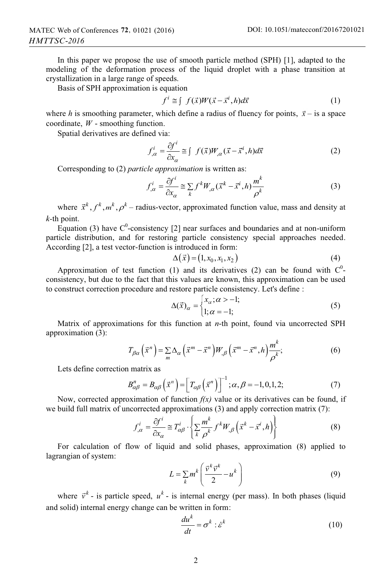In this paper we propose the use of smooth particle method (SPH) [1], adapted to the modeling of the deformation process of the liquid droplet with a phase transition at crystallization in a large range of speeds.

Basis of SPH approximation is equation

$$
f^{i} \cong \int f(\vec{x})W(\vec{x} - \vec{x}^{i}, h)d\vec{x}
$$
 (1)

where *h* is smoothing parameter, which define a radius of fluency for points,  $\vec{x}$  – is a space coordinate, *W* - smoothing function.

Spatial derivatives are defined via:

$$
f_{,\alpha}^{i} = \frac{\partial f^{i}}{\partial x_{\alpha}} \cong \int f(\vec{x})W_{,\alpha}(\vec{x} - \vec{x}^{i}, h)d\vec{x}
$$
 (2)

Corresponding to (2) *particle approximation* is written as:

$$
f_{,\alpha}^{i} = \frac{\partial f^{i}}{\partial x_{\alpha}} \cong \sum_{k} f^{k} W_{,\alpha} (\vec{x}^{k} - \vec{x}^{i}, h) \frac{m^{k}}{\rho^{k}}
$$
(3)

where  $\vec{x}^k, f^k, m^k, \rho^k$  – radius-vector, approximated function value, mass and density at *k-*th point.

Equation (3) have  $C^0$ -consistency [2] near surfaces and boundaries and at non-uniform particle distribution, and for restoring particle consistency special approaches needed. According [2], a test vector-function is introduced in form:

$$
\Delta\left(\vec{x}\right) = \left(1, x_0, x_1, x_2\right) \tag{4}
$$

Approximation of test function (1) and its derivatives (2) can be found with  $C^0$ consistency, but due to the fact that this values are known, this approximation can be used to construct correction procedure and restore particle consistency. Let's define :

$$
\Delta(\vec{x})_{\alpha} = \begin{cases} x_{\alpha}; \alpha > -1; \\ 1; \alpha = -1; \end{cases}
$$
 (5)

Matrix of approximations for this function at *n*-th point, found via uncorrected SPH approximation (3):

$$
T_{\beta\alpha}(\vec{x}^n) = \sum_{m} \Delta_{\alpha}(\vec{x}^m - \vec{x}^n) W_{,\beta}(\vec{x}^m - \vec{x}^n, h) \frac{m^k}{\rho^k};
$$
 (6)

Lets define correction matrix as

$$
B_{\alpha\beta}^{n} = B_{\alpha\beta} \left( \vec{x}^{n} \right) = \left[ T_{\alpha\beta} \left( \vec{x}^{n} \right) \right]^{-1}; \alpha, \beta = -1, 0, 1, 2; \tag{7}
$$

Now, corrected approximation of function  $f(x)$  value or its derivatives can be found, if we build full matrix of uncorrected approximations (3) and apply correction matrix (7):

$$
f_{,\alpha}^i = \frac{\partial f^i}{\partial x_{\alpha}} \cong T_{\alpha\beta}^i \cdot \left\{ \sum_k \frac{m^k}{\rho^k} f^k W_{,\beta} \left( \vec{x}^k - \vec{x}^i, h \right) \right\} \tag{8}
$$

For calculation of flow of liquid and solid phases, approximation (8) applied to lagrangian of system:

$$
L = \sum_{k} m^{k} \left( \frac{\vec{v}^{k} \vec{v}^{k}}{2} - u^{k} \right)
$$
 (9)

where  $\vec{v}^k$  - is particle speed,  $u^k$  - is internal energy (per mass). In both phases (liquid and solid) internal energy change can be written in form:

$$
\frac{du^k}{dt} = \sigma^k : \dot{\varepsilon}^k \tag{10}
$$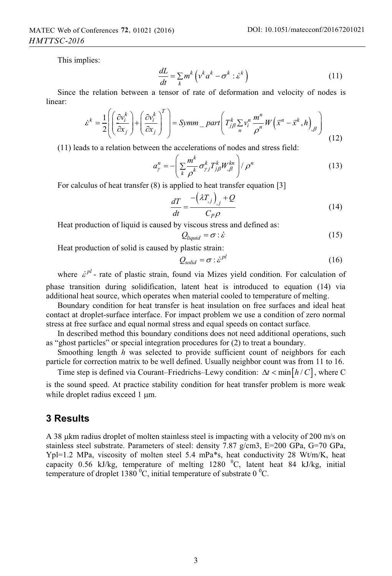This implies:

$$
\frac{dL}{dt} = \sum_{k} m^{k} \left( v^{k} a^{k} - \sigma^{k} : \dot{\varepsilon}^{k} \right)
$$
\n(11)

Since the relation between a tensor of rate of deformation and velocity of nodes is linear:

$$
\dot{\varepsilon}^k = \frac{1}{2} \left( \left( \frac{\partial v_i^k}{\partial x_j} \right) + \left( \frac{\partial v_i^k}{\partial x_j} \right)^T \right) = Symm - part \left( T_{j\beta}^k \sum_{n} v_i^n \frac{m^n}{\rho^n} W \left( \vec{x}^n - \vec{x}^k, h \right)_{,\beta} \right)
$$
(12)

(11) leads to a relation between the accelerations of nodes and stress field:

$$
a_{\gamma}^{n} = -\left(\sum_{k} \frac{m^{k}}{\rho^{k}} \sigma_{\gamma j}^{k} T_{j\beta}^{k} W_{,\beta}^{kn}\right) / \rho^{n}
$$
 (13)

For calculus of heat transfer (8) is applied to heat transfer equation [3]

$$
\frac{dT}{dt} = \frac{-\left(\lambda T_{,j}\right)_{,j} + Q}{C_P \rho} \tag{14}
$$

Heat production of liquid is caused by viscous stress and defined as:

$$
Q_{liquid} = \sigma : \dot{\varepsilon} \tag{15}
$$

Heat production of solid is caused by plastic strain:

$$
Q_{solid} = \sigma : \dot{\varepsilon}^{pl} \tag{16}
$$

where  $\dot{\varepsilon}^{pl}$  - rate of plastic strain, found via Mizes yield condition. For calculation of phase transition during solidification, latent heat is introduced to equation (14) via additional heat source, which operates when material cooled to temperature of melting.

Boundary condition for heat transfer is heat insulation on free surfaces and ideal heat contact at droplet-surface interface. For impact problem we use a condition of zero normal stress at free surface and equal normal stress and equal speeds on contact surface.

In described method this boundary conditions does not need additional operations, such as "ghost particles" or special integration procedures for (2) to treat a boundary.

Smoothing length *h* was selected to provide sufficient count of neighbors for each particle for correction matrix to be well defined. Usually neighbor count was from 11 to 16.

Time step is defined via Courant–Friedrichs–Lewy condition:  $\Delta t < \min[h/C]$ , where C is the sound speed. At practice stability condition for heat transfer problem is more weak while droplet radius exceed  $1 \mu m$ .

#### **3 Results**

A 38  $\mu$ km radius droplet of molten stainless steel is impacting with a velocity of 200 m/s on stainless steel substrate. Parameters of steel: density 7.87 g/cm3, E=200 GPa, G=70 GPa, Ypl=1.2 MPa, viscosity of molten steel 5.4 mPa\*s, heat conductivity 28 Wt/m/K, heat capacity 0.56 kJ/kg, temperature of melting  $1280\text{ °C}$ , latent heat 84 kJ/kg, initial temperature of droplet 1380  $^{0}$ C, initial temperature of substrate 0  $^{0}$ C.